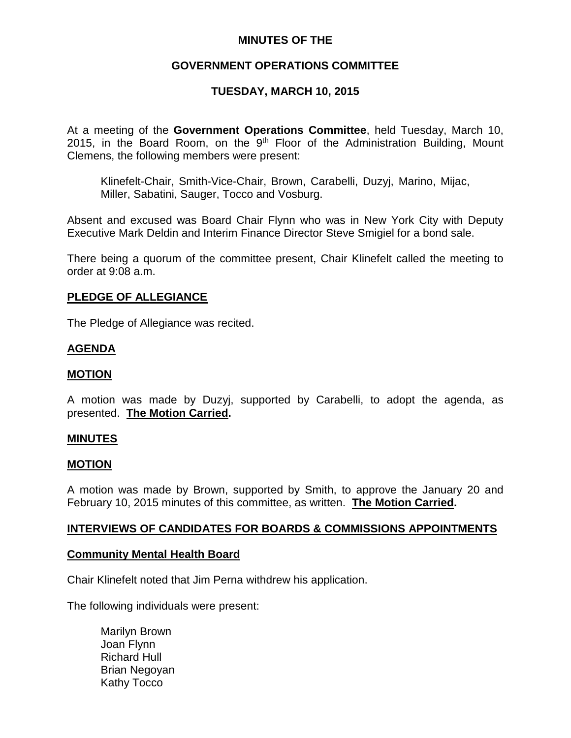## **MINUTES OF THE**

# **GOVERNMENT OPERATIONS COMMITTEE**

# **TUESDAY, MARCH 10, 2015**

At a meeting of the **Government Operations Committee**, held Tuesday, March 10, 2015, in the Board Room, on the  $9<sup>th</sup>$  Floor of the Administration Building, Mount Clemens, the following members were present:

Klinefelt-Chair, Smith-Vice-Chair, Brown, Carabelli, Duzyj, Marino, Mijac, Miller, Sabatini, Sauger, Tocco and Vosburg.

Absent and excused was Board Chair Flynn who was in New York City with Deputy Executive Mark Deldin and Interim Finance Director Steve Smigiel for a bond sale.

There being a quorum of the committee present, Chair Klinefelt called the meeting to order at 9:08 a.m.

### **PLEDGE OF ALLEGIANCE**

The Pledge of Allegiance was recited.

### **AGENDA**

### **MOTION**

A motion was made by Duzyj, supported by Carabelli, to adopt the agenda, as presented. **The Motion Carried.**

#### **MINUTES**

#### **MOTION**

A motion was made by Brown, supported by Smith, to approve the January 20 and February 10, 2015 minutes of this committee, as written. **The Motion Carried.**

### **INTERVIEWS OF CANDIDATES FOR BOARDS & COMMISSIONS APPOINTMENTS**

#### **Community Mental Health Board**

Chair Klinefelt noted that Jim Perna withdrew his application.

The following individuals were present:

Marilyn Brown Joan Flynn Richard Hull Brian Negoyan Kathy Tocco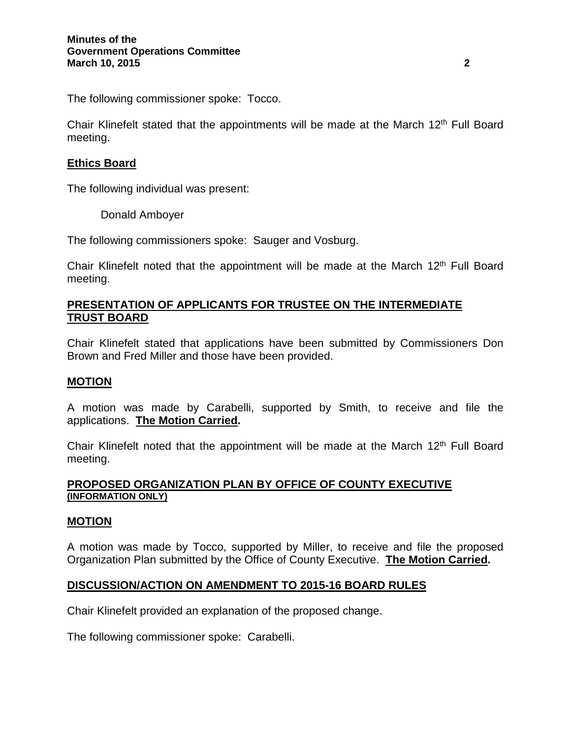The following commissioner spoke: Tocco.

Chair Klinefelt stated that the appointments will be made at the March  $12<sup>th</sup>$  Full Board meeting.

# **Ethics Board**

The following individual was present:

Donald Amboyer

The following commissioners spoke: Sauger and Vosburg.

Chair Klinefelt noted that the appointment will be made at the March 12<sup>th</sup> Full Board meeting.

# **PRESENTATION OF APPLICANTS FOR TRUSTEE ON THE INTERMEDIATE TRUST BOARD**

Chair Klinefelt stated that applications have been submitted by Commissioners Don Brown and Fred Miller and those have been provided.

### **MOTION**

A motion was made by Carabelli, supported by Smith, to receive and file the applications. **The Motion Carried.**

Chair Klinefelt noted that the appointment will be made at the March  $12<sup>th</sup>$  Full Board meeting.

### **PROPOSED ORGANIZATION PLAN BY OFFICE OF COUNTY EXECUTIVE (INFORMATION ONLY)**

### **MOTION**

A motion was made by Tocco, supported by Miller, to receive and file the proposed Organization Plan submitted by the Office of County Executive. **The Motion Carried.**

# **DISCUSSION/ACTION ON AMENDMENT TO 2015-16 BOARD RULES**

Chair Klinefelt provided an explanation of the proposed change.

The following commissioner spoke: Carabelli.